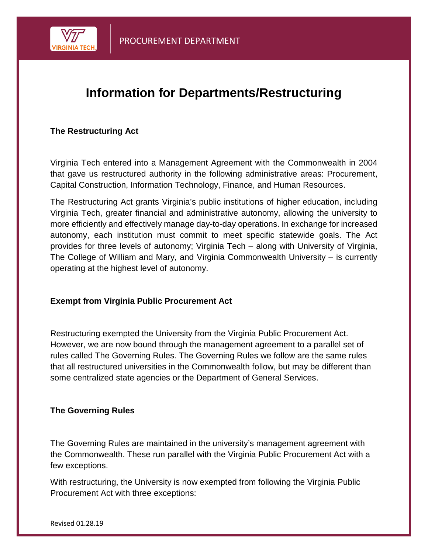

## **Information for Departments/Restructuring**

## **The Restructuring Act**

Virginia Tech entered into a Management Agreement with the Commonwealth in 2004 that gave us restructured authority in the following administrative areas: Procurement, Capital Construction, Information Technology, Finance, and Human Resources.

The Restructuring Act grants Virginia's public institutions of higher education, including Virginia Tech, greater financial and administrative autonomy, allowing the university to more efficiently and effectively manage day-to-day operations. In exchange for increased autonomy, each institution must commit to meet specific statewide goals. The Act provides for three levels of autonomy; Virginia Tech – along with University of Virginia, The College of William and Mary, and Virginia Commonwealth University – is currently operating at the highest level of autonomy.

## **Exempt from Virginia Public Procurement Act**

Restructuring exempted the University from the Virginia Public Procurement Act. However, we are now bound through the management agreement to a parallel set of rules called The Governing Rules. The Governing Rules we follow are the same rules that all restructured universities in the Commonwealth follow, but may be different than some centralized state agencies or the Department of General Services.

## **The Governing Rules**

The Governing Rules are maintained in the university's management agreement with the Commonwealth. These run parallel with the Virginia Public Procurement Act with a few exceptions.

With restructuring, the University is now exempted from following the Virginia Public Procurement Act with three exceptions: